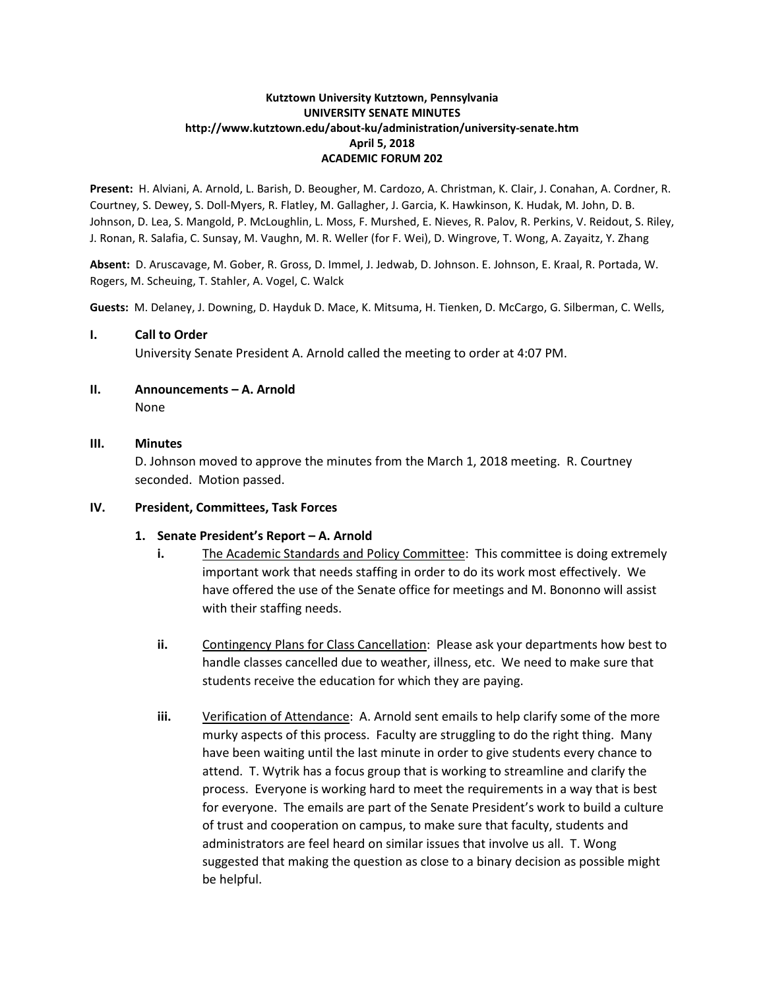### **Kutztown University Kutztown, Pennsylvania UNIVERSITY SENATE MINUTES http://www.kutztown.edu/about-ku/administration/university-senate.htm April 5, 2018 ACADEMIC FORUM 202**

**Present:** H. Alviani, A. Arnold, L. Barish, D. Beougher, M. Cardozo, A. Christman, K. Clair, J. Conahan, A. Cordner, R. Courtney, S. Dewey, S. Doll-Myers, R. Flatley, M. Gallagher, J. Garcia, K. Hawkinson, K. Hudak, M. John, D. B. Johnson, D. Lea, S. Mangold, P. McLoughlin, L. Moss, F. Murshed, E. Nieves, R. Palov, R. Perkins, V. Reidout, S. Riley, J. Ronan, R. Salafia, C. Sunsay, M. Vaughn, M. R. Weller (for F. Wei), D. Wingrove, T. Wong, A. Zayaitz, Y. Zhang

**Absent:** D. Aruscavage, M. Gober, R. Gross, D. Immel, J. Jedwab, D. Johnson. E. Johnson, E. Kraal, R. Portada, W. Rogers, M. Scheuing, T. Stahler, A. Vogel, C. Walck

**Guests:** M. Delaney, J. Downing, D. Hayduk D. Mace, K. Mitsuma, H. Tienken, D. McCargo, G. Silberman, C. Wells,

#### **I. Call to Order**

University Senate President A. Arnold called the meeting to order at 4:07 PM.

# **II. Announcements – A. Arnold**

None

### **III. Minutes**

D. Johnson moved to approve the minutes from the March 1, 2018 meeting. R. Courtney seconded. Motion passed.

# **IV. President, Committees, Task Forces**

# **1. Senate President's Report – A. Arnold**

- **i.** The Academic Standards and Policy Committee: This committee is doing extremely important work that needs staffing in order to do its work most effectively. We have offered the use of the Senate office for meetings and M. Bononno will assist with their staffing needs.
- **ii.** Contingency Plans for Class Cancellation: Please ask your departments how best to handle classes cancelled due to weather, illness, etc. We need to make sure that students receive the education for which they are paying.
- **iii.** Verification of Attendance: A. Arnold sent emails to help clarify some of the more murky aspects of this process. Faculty are struggling to do the right thing. Many have been waiting until the last minute in order to give students every chance to attend. T. Wytrik has a focus group that is working to streamline and clarify the process. Everyone is working hard to meet the requirements in a way that is best for everyone. The emails are part of the Senate President's work to build a culture of trust and cooperation on campus, to make sure that faculty, students and administrators are feel heard on similar issues that involve us all. T. Wong suggested that making the question as close to a binary decision as possible might be helpful.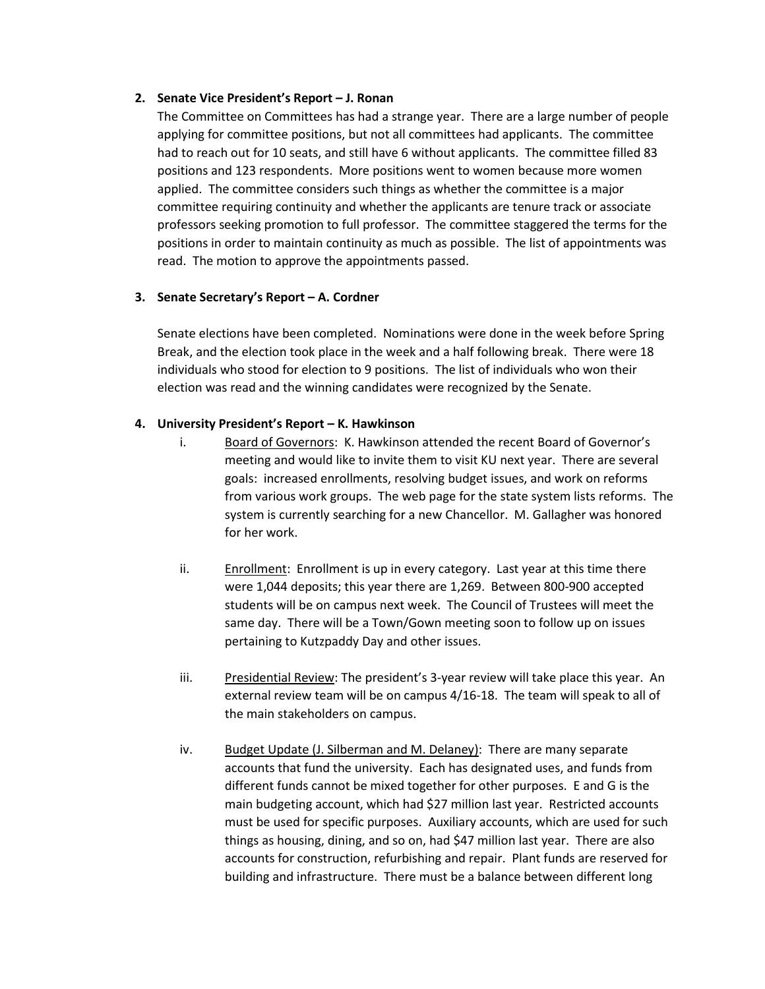# **2. Senate Vice President's Report – J. Ronan**

The Committee on Committees has had a strange year. There are a large number of people applying for committee positions, but not all committees had applicants. The committee had to reach out for 10 seats, and still have 6 without applicants. The committee filled 83 positions and 123 respondents. More positions went to women because more women applied. The committee considers such things as whether the committee is a major committee requiring continuity and whether the applicants are tenure track or associate professors seeking promotion to full professor. The committee staggered the terms for the positions in order to maintain continuity as much as possible. The list of appointments was read. The motion to approve the appointments passed.

# **3. Senate Secretary's Report – A. Cordner**

Senate elections have been completed. Nominations were done in the week before Spring Break, and the election took place in the week and a half following break. There were 18 individuals who stood for election to 9 positions. The list of individuals who won their election was read and the winning candidates were recognized by the Senate.

### **4. University President's Report – K. Hawkinson**

- i. Board of Governors: K. Hawkinson attended the recent Board of Governor's meeting and would like to invite them to visit KU next year. There are several goals: increased enrollments, resolving budget issues, and work on reforms from various work groups. The web page for the state system lists reforms. The system is currently searching for a new Chancellor. M. Gallagher was honored for her work.
- ii. Enrollment: Enrollment is up in every category. Last year at this time there were 1,044 deposits; this year there are 1,269. Between 800-900 accepted students will be on campus next week. The Council of Trustees will meet the same day. There will be a Town/Gown meeting soon to follow up on issues pertaining to Kutzpaddy Day and other issues.
- iii. Presidential Review: The president's 3-year review will take place this year. An external review team will be on campus 4/16-18. The team will speak to all of the main stakeholders on campus.
- iv. Budget Update (J. Silberman and M. Delaney): There are many separate accounts that fund the university. Each has designated uses, and funds from different funds cannot be mixed together for other purposes. E and G is the main budgeting account, which had \$27 million last year. Restricted accounts must be used for specific purposes. Auxiliary accounts, which are used for such things as housing, dining, and so on, had \$47 million last year. There are also accounts for construction, refurbishing and repair. Plant funds are reserved for building and infrastructure. There must be a balance between different long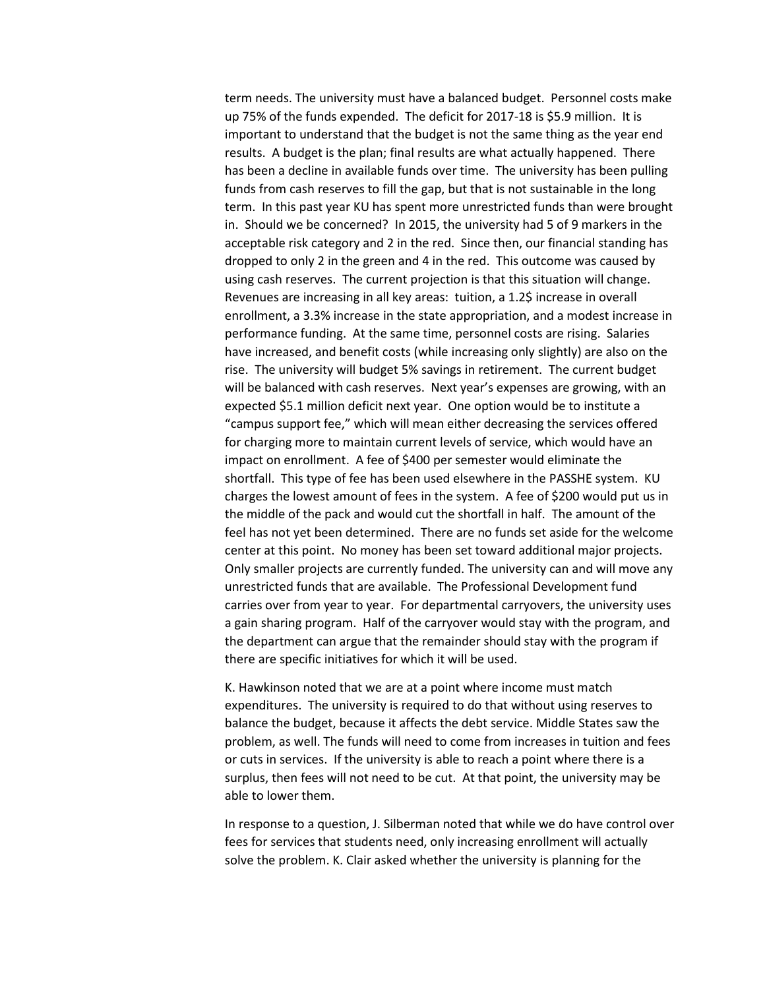term needs. The university must have a balanced budget. Personnel costs make up 75% of the funds expended. The deficit for 2017-18 is \$5.9 million. It is important to understand that the budget is not the same thing as the year end results. A budget is the plan; final results are what actually happened. There has been a decline in available funds over time. The university has been pulling funds from cash reserves to fill the gap, but that is not sustainable in the long term. In this past year KU has spent more unrestricted funds than were brought in. Should we be concerned? In 2015, the university had 5 of 9 markers in the acceptable risk category and 2 in the red. Since then, our financial standing has dropped to only 2 in the green and 4 in the red. This outcome was caused by using cash reserves. The current projection is that this situation will change. Revenues are increasing in all key areas: tuition, a 1.2\$ increase in overall enrollment, a 3.3% increase in the state appropriation, and a modest increase in performance funding. At the same time, personnel costs are rising. Salaries have increased, and benefit costs (while increasing only slightly) are also on the rise. The university will budget 5% savings in retirement. The current budget will be balanced with cash reserves. Next year's expenses are growing, with an expected \$5.1 million deficit next year. One option would be to institute a "campus support fee," which will mean either decreasing the services offered for charging more to maintain current levels of service, which would have an impact on enrollment. A fee of \$400 per semester would eliminate the shortfall. This type of fee has been used elsewhere in the PASSHE system. KU charges the lowest amount of fees in the system. A fee of \$200 would put us in the middle of the pack and would cut the shortfall in half. The amount of the feel has not yet been determined. There are no funds set aside for the welcome center at this point. No money has been set toward additional major projects. Only smaller projects are currently funded. The university can and will move any unrestricted funds that are available. The Professional Development fund carries over from year to year. For departmental carryovers, the university uses a gain sharing program. Half of the carryover would stay with the program, and the department can argue that the remainder should stay with the program if there are specific initiatives for which it will be used.

K. Hawkinson noted that we are at a point where income must match expenditures. The university is required to do that without using reserves to balance the budget, because it affects the debt service. Middle States saw the problem, as well. The funds will need to come from increases in tuition and fees or cuts in services. If the university is able to reach a point where there is a surplus, then fees will not need to be cut. At that point, the university may be able to lower them.

In response to a question, J. Silberman noted that while we do have control over fees for services that students need, only increasing enrollment will actually solve the problem. K. Clair asked whether the university is planning for the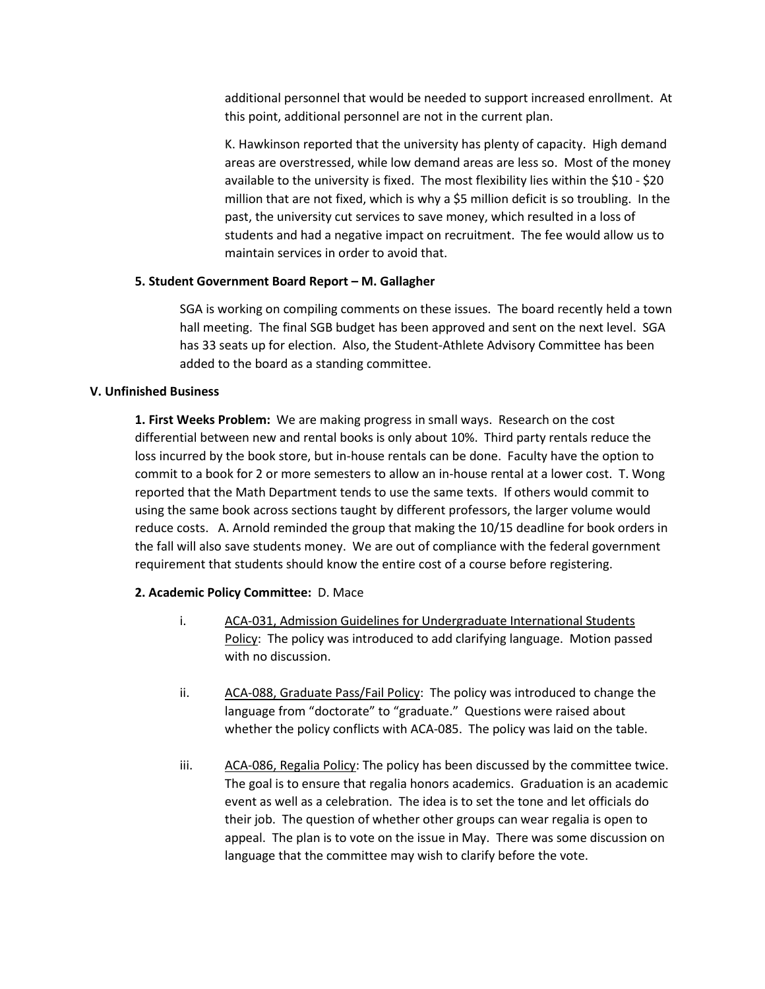additional personnel that would be needed to support increased enrollment. At this point, additional personnel are not in the current plan.

K. Hawkinson reported that the university has plenty of capacity. High demand areas are overstressed, while low demand areas are less so. Most of the money available to the university is fixed. The most flexibility lies within the \$10 - \$20 million that are not fixed, which is why a \$5 million deficit is so troubling. In the past, the university cut services to save money, which resulted in a loss of students and had a negative impact on recruitment. The fee would allow us to maintain services in order to avoid that.

# **5. Student Government Board Report – M. Gallagher**

SGA is working on compiling comments on these issues. The board recently held a town hall meeting. The final SGB budget has been approved and sent on the next level. SGA has 33 seats up for election. Also, the Student-Athlete Advisory Committee has been added to the board as a standing committee.

# **V. Unfinished Business**

**1. First Weeks Problem:** We are making progress in small ways. Research on the cost differential between new and rental books is only about 10%. Third party rentals reduce the loss incurred by the book store, but in-house rentals can be done. Faculty have the option to commit to a book for 2 or more semesters to allow an in-house rental at a lower cost. T. Wong reported that the Math Department tends to use the same texts. If others would commit to using the same book across sections taught by different professors, the larger volume would reduce costs. A. Arnold reminded the group that making the 10/15 deadline for book orders in the fall will also save students money. We are out of compliance with the federal government requirement that students should know the entire cost of a course before registering.

# **2. Academic Policy Committee:** D. Mace

- i. ACA-031, Admission Guidelines for Undergraduate International Students Policy: The policy was introduced to add clarifying language. Motion passed with no discussion.
- ii. ACA-088, Graduate Pass/Fail Policy: The policy was introduced to change the language from "doctorate" to "graduate." Questions were raised about whether the policy conflicts with ACA-085. The policy was laid on the table.
- iii.  $ACA-086$ , Regalia Policy: The policy has been discussed by the committee twice. The goal is to ensure that regalia honors academics. Graduation is an academic event as well as a celebration. The idea is to set the tone and let officials do their job. The question of whether other groups can wear regalia is open to appeal. The plan is to vote on the issue in May. There was some discussion on language that the committee may wish to clarify before the vote.